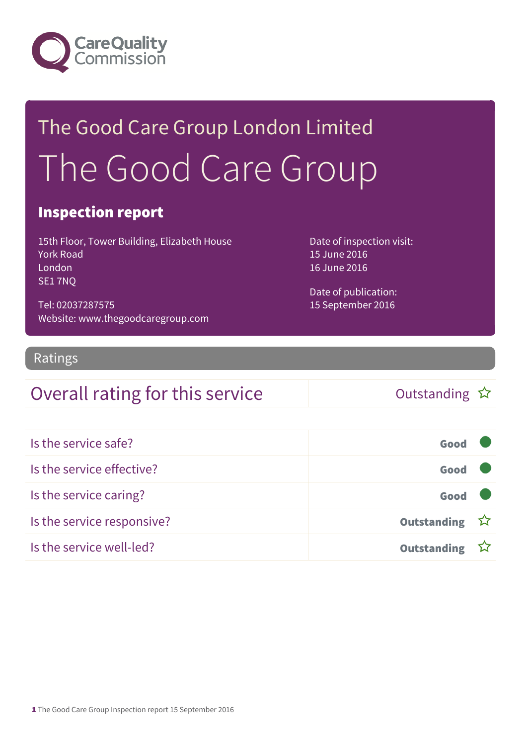

# The Good Care Group London Limited The Good Care Group

#### Inspection report

15th Floor, Tower Building, Elizabeth House York Road London SE1 7NQ

Tel: 02037287575 Website: www.thegoodcaregroup.com Date of inspection visit: 15 June 2016 16 June 2016

Date of publication: 15 September 2016

#### **Ratings**

#### Overall rating for this service and the Cutstanding  $\hat{x}$

| Is the service safe?       | Good               |  |
|----------------------------|--------------------|--|
| Is the service effective?  | Good               |  |
| Is the service caring?     | Good               |  |
| Is the service responsive? | Outstanding ☆      |  |
| Is the service well-led?   | <b>Outstanding</b> |  |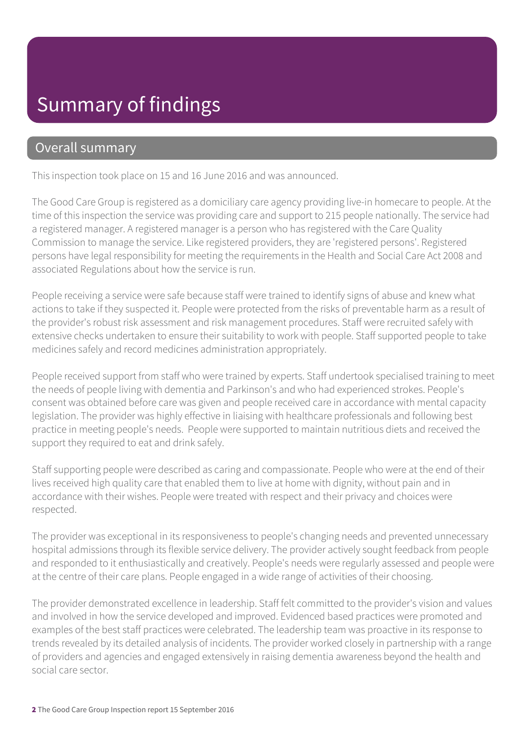### Summary of findings

#### Overall summary

This inspection took place on 15 and 16 June 2016 and was announced.

The Good Care Group is registered as a domiciliary care agency providing live-in homecare to people. At the time of this inspection the service was providing care and support to 215 people nationally. The service had a registered manager. A registered manager is a person who has registered with the Care Quality Commission to manage the service. Like registered providers, they are 'registered persons'. Registered persons have legal responsibility for meeting the requirements in the Health and Social Care Act 2008 and associated Regulations about how the service is run.

People receiving a service were safe because staff were trained to identify signs of abuse and knew what actions to take if they suspected it. People were protected from the risks of preventable harm as a result of the provider's robust risk assessment and risk management procedures. Staff were recruited safely with extensive checks undertaken to ensure their suitability to work with people. Staff supported people to take medicines safely and record medicines administration appropriately.

People received support from staff who were trained by experts. Staff undertook specialised training to meet the needs of people living with dementia and Parkinson's and who had experienced strokes. People's consent was obtained before care was given and people received care in accordance with mental capacity legislation. The provider was highly effective in liaising with healthcare professionals and following best practice in meeting people's needs. People were supported to maintain nutritious diets and received the support they required to eat and drink safely.

Staff supporting people were described as caring and compassionate. People who were at the end of their lives received high quality care that enabled them to live at home with dignity, without pain and in accordance with their wishes. People were treated with respect and their privacy and choices were respected.

The provider was exceptional in its responsiveness to people's changing needs and prevented unnecessary hospital admissions through its flexible service delivery. The provider actively sought feedback from people and responded to it enthusiastically and creatively. People's needs were regularly assessed and people were at the centre of their care plans. People engaged in a wide range of activities of their choosing.

The provider demonstrated excellence in leadership. Staff felt committed to the provider's vision and values and involved in how the service developed and improved. Evidenced based practices were promoted and examples of the best staff practices were celebrated. The leadership team was proactive in its response to trends revealed by its detailed analysis of incidents. The provider worked closely in partnership with a range of providers and agencies and engaged extensively in raising dementia awareness beyond the health and social care sector.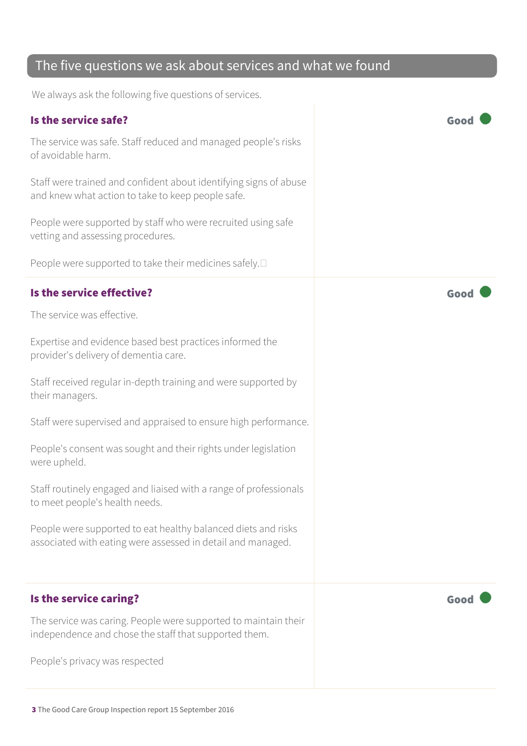#### The five questions we ask about services and what we found

We always ask the following five questions of services.

#### Is the service safe? Good The service was safe. Staff reduced and managed people's risks of avoidable harm. Staff were trained and confident about identifying signs of abuse and knew what action to take to keep people safe. People were supported by staff who were recruited using safe vetting and assessing procedures. People were supported to take their medicines safely.  $\square$ Is the service effective?  $\blacksquare$ The service was effective. Expertise and evidence based best practices informed the provider's delivery of dementia care. Staff received regular in-depth training and were supported by their managers. Staff were supervised and appraised to ensure high performance. People's consent was sought and their rights under legislation were upheld. Staff routinely engaged and liaised with a range of professionals to meet people's health needs. People were supported to eat healthy balanced diets and risks associated with eating were assessed in detail and managed. Is the service caring? Good Carriers and the service carriers of the service care of the service care of the service of the service care of the service care of the service care of the service care of the service care of th The service was caring. People were supported to maintain their independence and chose the staff that supported them. People's privacy was respected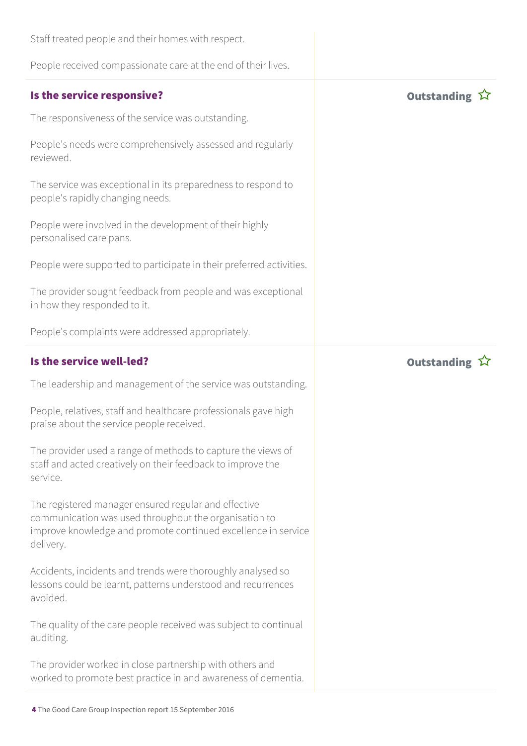| Staff treated people and their homes with respect.                                                                                                                                          |                       |
|---------------------------------------------------------------------------------------------------------------------------------------------------------------------------------------------|-----------------------|
| People received compassionate care at the end of their lives.                                                                                                                               |                       |
| Is the service responsive?                                                                                                                                                                  | Outstanding $\hat{W}$ |
| The responsiveness of the service was outstanding.                                                                                                                                          |                       |
| People's needs were comprehensively assessed and regularly<br>reviewed.                                                                                                                     |                       |
| The service was exceptional in its preparedness to respond to<br>people's rapidly changing needs.                                                                                           |                       |
| People were involved in the development of their highly<br>personalised care pans.                                                                                                          |                       |
| People were supported to participate in their preferred activities.                                                                                                                         |                       |
| The provider sought feedback from people and was exceptional<br>in how they responded to it.                                                                                                |                       |
| People's complaints were addressed appropriately.                                                                                                                                           |                       |
| Is the service well-led?                                                                                                                                                                    | Outstanding ☆         |
| The leadership and management of the service was outstanding.                                                                                                                               |                       |
| People, relatives, staff and healthcare professionals gave high<br>praise about the service people received.                                                                                |                       |
| The provider used a range of methods to capture the views of<br>staff and acted creatively on their feedback to improve the<br>service.                                                     |                       |
| The registered manager ensured regular and effective<br>communication was used throughout the organisation to<br>improve knowledge and promote continued excellence in service<br>delivery. |                       |
| Accidents, incidents and trends were thoroughly analysed so<br>lessons could be learnt, patterns understood and recurrences<br>avoided.                                                     |                       |
| The quality of the care people received was subject to continual<br>auditing.                                                                                                               |                       |
| The provider worked in close partnership with others and<br>worked to promote best practice in and awareness of dementia.                                                                   |                       |
|                                                                                                                                                                                             |                       |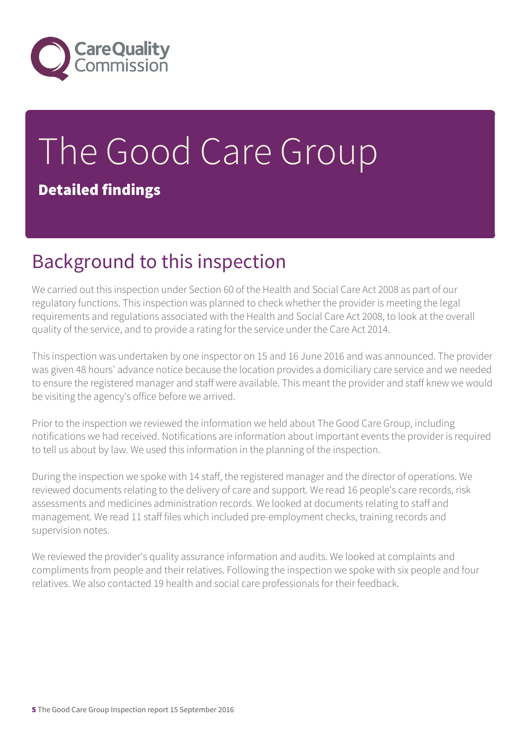

# The Good Care Group Detailed findings

### Background to this inspection

We carried out this inspection under Section 60 of the Health and Social Care Act 2008 as part of our regulatory functions. This inspection was planned to check whether the provider is meeting the legal requirements and regulations associated with the Health and Social Care Act 2008, to look at the overall quality of the service, and to provide a rating for the service under the Care Act 2014.

This inspection was undertaken by one inspector on 15 and 16 June 2016 and was announced. The provider was given 48 hours' advance notice because the location provides a domiciliary care service and we needed to ensure the registered manager and staff were available. This meant the provider and staff knew we would be visiting the agency's office before we arrived.

Prior to the inspection we reviewed the information we held about The Good Care Group, including notifications we had received. Notifications are information about important events the provider is required to tell us about by law. We used this information in the planning of the inspection.

During the inspection we spoke with 14 staff, the registered manager and the director of operations. We reviewed documents relating to the delivery of care and support. We read 16 people's care records, risk assessments and medicines administration records. We looked at documents relating to staff and management. We read 11 staff files which included pre-employment checks, training records and supervision notes.

We reviewed the provider's quality assurance information and audits. We looked at complaints and compliments from people and their relatives. Following the inspection we spoke with six people and four relatives. We also contacted 19 health and social care professionals for their feedback.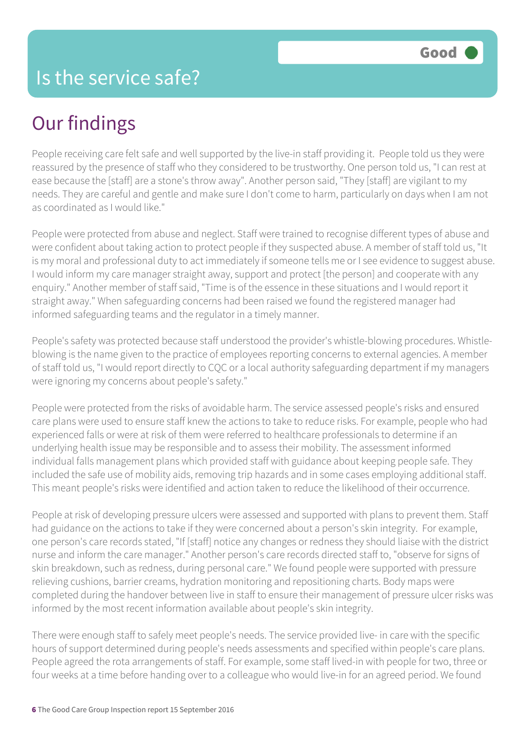### Our findings

People receiving care felt safe and well supported by the live-in staff providing it. People told us they were reassured by the presence of staff who they considered to be trustworthy. One person told us, "I can rest at ease because the [staff] are a stone's throw away". Another person said, "They [staff] are vigilant to my needs. They are careful and gentle and make sure I don't come to harm, particularly on days when I am not as coordinated as I would like."

People were protected from abuse and neglect. Staff were trained to recognise different types of abuse and were confident about taking action to protect people if they suspected abuse. A member of staff told us, "It is my moral and professional duty to act immediately if someone tells me or I see evidence to suggest abuse. I would inform my care manager straight away, support and protect [the person] and cooperate with any enquiry." Another member of staff said, "Time is of the essence in these situations and I would report it straight away." When safeguarding concerns had been raised we found the registered manager had informed safeguarding teams and the regulator in a timely manner.

People's safety was protected because staff understood the provider's whistle-blowing procedures. Whistleblowing is the name given to the practice of employees reporting concerns to external agencies. A member of staff told us, "I would report directly to CQC or a local authority safeguarding department if my managers were ignoring my concerns about people's safety."

People were protected from the risks of avoidable harm. The service assessed people's risks and ensured care plans were used to ensure staff knew the actions to take to reduce risks. For example, people who had experienced falls or were at risk of them were referred to healthcare professionals to determine if an underlying health issue may be responsible and to assess their mobility. The assessment informed individual falls management plans which provided staff with guidance about keeping people safe. They included the safe use of mobility aids, removing trip hazards and in some cases employing additional staff. This meant people's risks were identified and action taken to reduce the likelihood of their occurrence.

People at risk of developing pressure ulcers were assessed and supported with plans to prevent them. Staff had guidance on the actions to take if they were concerned about a person's skin integrity. For example, one person's care records stated, "If [staff] notice any changes or redness they should liaise with the district nurse and inform the care manager." Another person's care records directed staff to, "observe for signs of skin breakdown, such as redness, during personal care." We found people were supported with pressure relieving cushions, barrier creams, hydration monitoring and repositioning charts. Body maps were completed during the handover between live in staff to ensure their management of pressure ulcer risks was informed by the most recent information available about people's skin integrity.

There were enough staff to safely meet people's needs. The service provided live- in care with the specific hours of support determined during people's needs assessments and specified within people's care plans. People agreed the rota arrangements of staff. For example, some staff lived-in with people for two, three or four weeks at a time before handing over to a colleague who would live-in for an agreed period. We found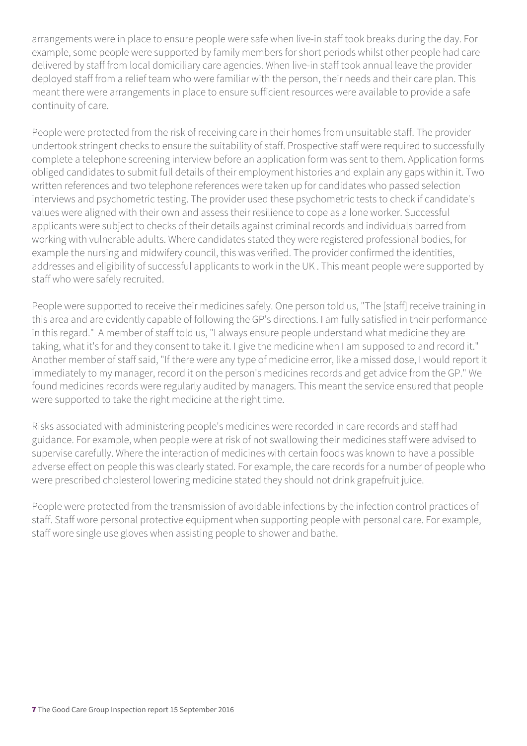arrangements were in place to ensure people were safe when live-in staff took breaks during the day. For example, some people were supported by family members for short periods whilst other people had care delivered by staff from local domiciliary care agencies. When live-in staff took annual leave the provider deployed staff from a relief team who were familiar with the person, their needs and their care plan. This meant there were arrangements in place to ensure sufficient resources were available to provide a safe continuity of care.

People were protected from the risk of receiving care in their homes from unsuitable staff. The provider undertook stringent checks to ensure the suitability of staff. Prospective staff were required to successfully complete a telephone screening interview before an application form was sent to them. Application forms obliged candidates to submit full details of their employment histories and explain any gaps within it. Two written references and two telephone references were taken up for candidates who passed selection interviews and psychometric testing. The provider used these psychometric tests to check if candidate's values were aligned with their own and assess their resilience to cope as a lone worker. Successful applicants were subject to checks of their details against criminal records and individuals barred from working with vulnerable adults. Where candidates stated they were registered professional bodies, for example the nursing and midwifery council, this was verified. The provider confirmed the identities, addresses and eligibility of successful applicants to work in the UK . This meant people were supported by staff who were safely recruited.

People were supported to receive their medicines safely. One person told us, "The [staff] receive training in this area and are evidently capable of following the GP's directions. I am fully satisfied in their performance in this regard." A member of staff told us, "I always ensure people understand what medicine they are taking, what it's for and they consent to take it. I give the medicine when I am supposed to and record it." Another member of staff said, "If there were any type of medicine error, like a missed dose, I would report it immediately to my manager, record it on the person's medicines records and get advice from the GP." We found medicines records were regularly audited by managers. This meant the service ensured that people were supported to take the right medicine at the right time.

Risks associated with administering people's medicines were recorded in care records and staff had guidance. For example, when people were at risk of not swallowing their medicines staff were advised to supervise carefully. Where the interaction of medicines with certain foods was known to have a possible adverse effect on people this was clearly stated. For example, the care records for a number of people who were prescribed cholesterol lowering medicine stated they should not drink grapefruit juice.

People were protected from the transmission of avoidable infections by the infection control practices of staff. Staff wore personal protective equipment when supporting people with personal care. For example, staff wore single use gloves when assisting people to shower and bathe.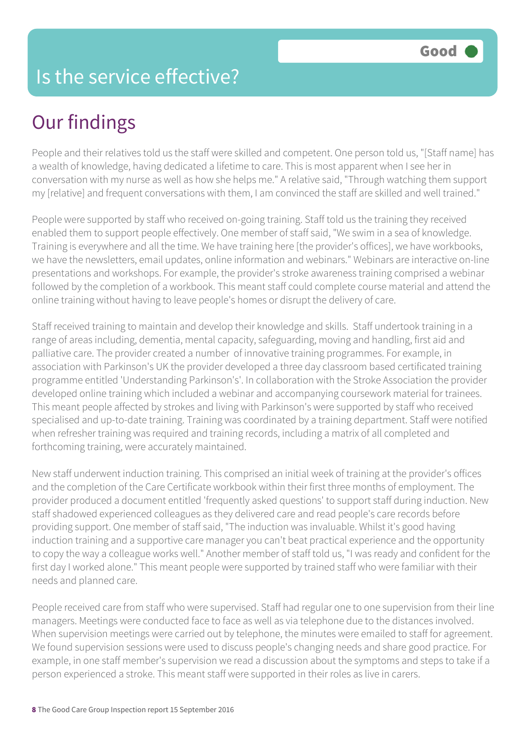#### Is the service effective?

## Our findings

People and their relatives told us the staff were skilled and competent. One person told us, "[Staff name] has a wealth of knowledge, having dedicated a lifetime to care. This is most apparent when I see her in conversation with my nurse as well as how she helps me." A relative said, "Through watching them support my [relative] and frequent conversations with them, I am convinced the staff are skilled and well trained."

People were supported by staff who received on-going training. Staff told us the training they received enabled them to support people effectively. One member of staff said, "We swim in a sea of knowledge. Training is everywhere and all the time. We have training here [the provider's offices], we have workbooks, we have the newsletters, email updates, online information and webinars." Webinars are interactive on-line presentations and workshops. For example, the provider's stroke awareness training comprised a webinar followed by the completion of a workbook. This meant staff could complete course material and attend the online training without having to leave people's homes or disrupt the delivery of care.

Staff received training to maintain and develop their knowledge and skills. Staff undertook training in a range of areas including, dementia, mental capacity, safeguarding, moving and handling, first aid and palliative care. The provider created a number of innovative training programmes. For example, in association with Parkinson's UK the provider developed a three day classroom based certificated training programme entitled 'Understanding Parkinson's'. In collaboration with the Stroke Association the provider developed online training which included a webinar and accompanying coursework material for trainees. This meant people affected by strokes and living with Parkinson's were supported by staff who received specialised and up-to-date training. Training was coordinated by a training department. Staff were notified when refresher training was required and training records, including a matrix of all completed and forthcoming training, were accurately maintained.

New staff underwent induction training. This comprised an initial week of training at the provider's offices and the completion of the Care Certificate workbook within their first three months of employment. The provider produced a document entitled 'frequently asked questions' to support staff during induction. New staff shadowed experienced colleagues as they delivered care and read people's care records before providing support. One member of staff said, "The induction was invaluable. Whilst it's good having induction training and a supportive care manager you can't beat practical experience and the opportunity to copy the way a colleague works well." Another member of staff told us, "I was ready and confident for the first day I worked alone." This meant people were supported by trained staff who were familiar with their needs and planned care.

People received care from staff who were supervised. Staff had regular one to one supervision from their line managers. Meetings were conducted face to face as well as via telephone due to the distances involved. When supervision meetings were carried out by telephone, the minutes were emailed to staff for agreement. We found supervision sessions were used to discuss people's changing needs and share good practice. For example, in one staff member's supervision we read a discussion about the symptoms and steps to take if a person experienced a stroke. This meant staff were supported in their roles as live in carers.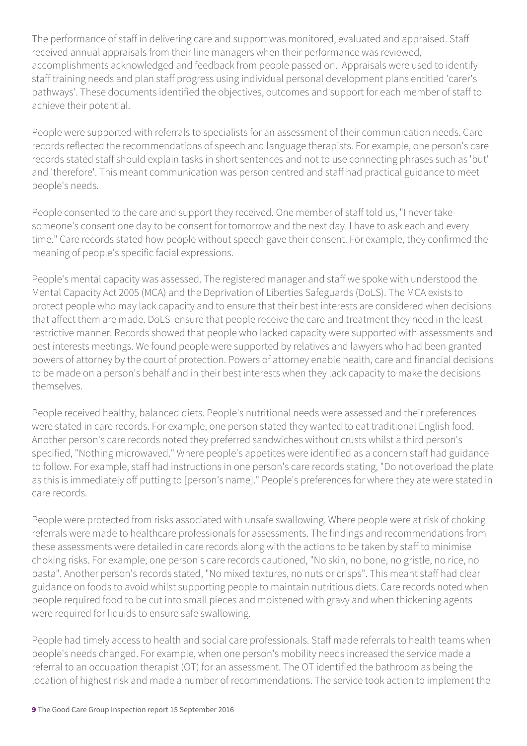The performance of staff in delivering care and support was monitored, evaluated and appraised. Staff received annual appraisals from their line managers when their performance was reviewed, accomplishments acknowledged and feedback from people passed on. Appraisals were used to identify staff training needs and plan staff progress using individual personal development plans entitled 'carer's pathways'. These documents identified the objectives, outcomes and support for each member of staff to achieve their potential.

People were supported with referrals to specialists for an assessment of their communication needs. Care records reflected the recommendations of speech and language therapists. For example, one person's care records stated staff should explain tasks in short sentences and not to use connecting phrases such as 'but' and 'therefore'. This meant communication was person centred and staff had practical guidance to meet people's needs.

People consented to the care and support they received. One member of staff told us, "I never take someone's consent one day to be consent for tomorrow and the next day. I have to ask each and every time." Care records stated how people without speech gave their consent. For example, they confirmed the meaning of people's specific facial expressions.

People's mental capacity was assessed. The registered manager and staff we spoke with understood the Mental Capacity Act 2005 (MCA) and the Deprivation of Liberties Safeguards (DoLS). The MCA exists to protect people who may lack capacity and to ensure that their best interests are considered when decisions that affect them are made. DoLS ensure that people receive the care and treatment they need in the least restrictive manner. Records showed that people who lacked capacity were supported with assessments and best interests meetings. We found people were supported by relatives and lawyers who had been granted powers of attorney by the court of protection. Powers of attorney enable health, care and financial decisions to be made on a person's behalf and in their best interests when they lack capacity to make the decisions themselves.

People received healthy, balanced diets. People's nutritional needs were assessed and their preferences were stated in care records. For example, one person stated they wanted to eat traditional English food. Another person's care records noted they preferred sandwiches without crusts whilst a third person's specified, "Nothing microwaved." Where people's appetites were identified as a concern staff had guidance to follow. For example, staff had instructions in one person's care records stating, "Do not overload the plate as this is immediately off putting to [person's name]." People's preferences for where they ate were stated in care records.

People were protected from risks associated with unsafe swallowing. Where people were at risk of choking referrals were made to healthcare professionals for assessments. The findings and recommendations from these assessments were detailed in care records along with the actions to be taken by staff to minimise choking risks. For example, one person's care records cautioned, "No skin, no bone, no gristle, no rice, no pasta". Another person's records stated, "No mixed textures, no nuts or crisps". This meant staff had clear guidance on foods to avoid whilst supporting people to maintain nutritious diets. Care records noted when people required food to be cut into small pieces and moistened with gravy and when thickening agents were required for liquids to ensure safe swallowing.

People had timely access to health and social care professionals. Staff made referrals to health teams when people's needs changed. For example, when one person's mobility needs increased the service made a referral to an occupation therapist (OT) for an assessment. The OT identified the bathroom as being the location of highest risk and made a number of recommendations. The service took action to implement the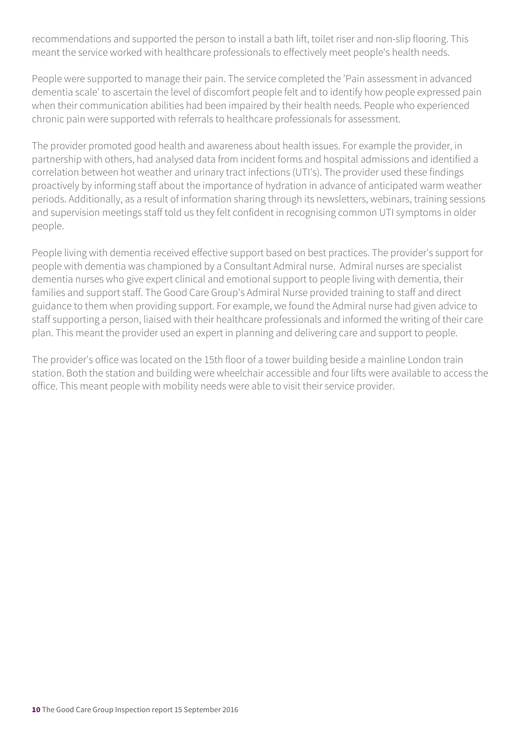recommendations and supported the person to install a bath lift, toilet riser and non-slip flooring. This meant the service worked with healthcare professionals to effectively meet people's health needs.

People were supported to manage their pain. The service completed the 'Pain assessment in advanced dementia scale' to ascertain the level of discomfort people felt and to identify how people expressed pain when their communication abilities had been impaired by their health needs. People who experienced chronic pain were supported with referrals to healthcare professionals for assessment.

The provider promoted good health and awareness about health issues. For example the provider, in partnership with others, had analysed data from incident forms and hospital admissions and identified a correlation between hot weather and urinary tract infections (UTI's). The provider used these findings proactively by informing staff about the importance of hydration in advance of anticipated warm weather periods. Additionally, as a result of information sharing through its newsletters, webinars, training sessions and supervision meetings staff told us they felt confident in recognising common UTI symptoms in older people.

People living with dementia received effective support based on best practices. The provider's support for people with dementia was championed by a Consultant Admiral nurse. Admiral nurses are specialist dementia nurses who give expert clinical and emotional support to people living with dementia, their families and support staff. The Good Care Group's Admiral Nurse provided training to staff and direct guidance to them when providing support. For example, we found the Admiral nurse had given advice to staff supporting a person, liaised with their healthcare professionals and informed the writing of their care plan. This meant the provider used an expert in planning and delivering care and support to people.

The provider's office was located on the 15th floor of a tower building beside a mainline London train station. Both the station and building were wheelchair accessible and four lifts were available to access the office. This meant people with mobility needs were able to visit their service provider.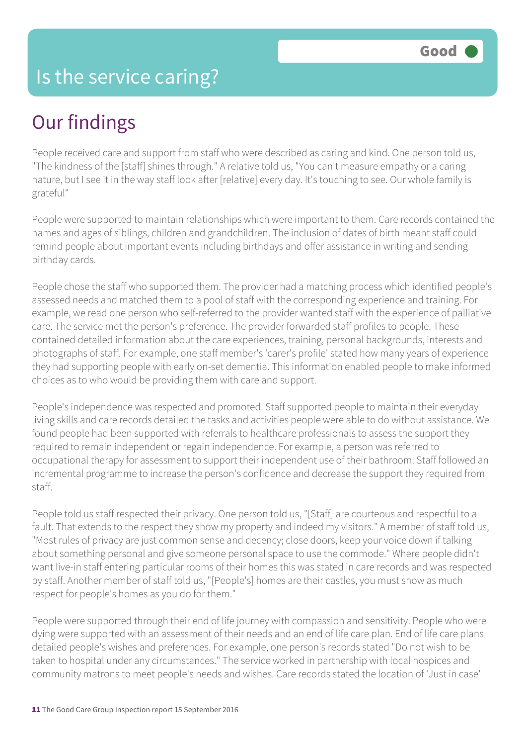## Our findings

People received care and support from staff who were described as caring and kind. One person told us, "The kindness of the [staff] shines through." A relative told us, "You can't measure empathy or a caring nature, but I see it in the way staff look after [relative] every day. It's touching to see. Our whole family is grateful"

People were supported to maintain relationships which were important to them. Care records contained the names and ages of siblings, children and grandchildren. The inclusion of dates of birth meant staff could remind people about important events including birthdays and offer assistance in writing and sending birthday cards.

People chose the staff who supported them. The provider had a matching process which identified people's assessed needs and matched them to a pool of staff with the corresponding experience and training. For example, we read one person who self-referred to the provider wanted staff with the experience of palliative care. The service met the person's preference. The provider forwarded staff profiles to people. These contained detailed information about the care experiences, training, personal backgrounds, interests and photographs of staff. For example, one staff member's 'carer's profile' stated how many years of experience they had supporting people with early on-set dementia. This information enabled people to make informed choices as to who would be providing them with care and support.

People's independence was respected and promoted. Staff supported people to maintain their everyday living skills and care records detailed the tasks and activities people were able to do without assistance. We found people had been supported with referrals to healthcare professionals to assess the support they required to remain independent or regain independence. For example, a person was referred to occupational therapy for assessment to support their independent use of their bathroom. Staff followed an incremental programme to increase the person's confidence and decrease the support they required from staff.

People told us staff respected their privacy. One person told us, "[Staff] are courteous and respectful to a fault. That extends to the respect they show my property and indeed my visitors." A member of staff told us, "Most rules of privacy are just common sense and decency; close doors, keep your voice down if talking about something personal and give someone personal space to use the commode." Where people didn't want live-in staff entering particular rooms of their homes this was stated in care records and was respected by staff. Another member of staff told us, "[People's] homes are their castles, you must show as much respect for people's homes as you do for them."

People were supported through their end of life journey with compassion and sensitivity. People who were dying were supported with an assessment of their needs and an end of life care plan. End of life care plans detailed people's wishes and preferences. For example, one person's records stated "Do not wish to be taken to hospital under any circumstances." The service worked in partnership with local hospices and community matrons to meet people's needs and wishes. Care records stated the location of 'Just in case'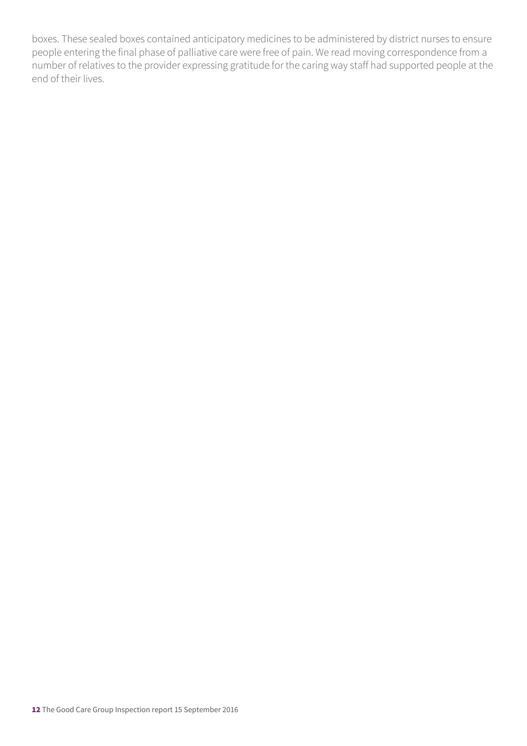boxes. These sealed boxes contained anticipatory medicines to be administered by district nurses to ensure people entering the final phase of palliative care were free of pain. We read moving correspondence from a number of relatives to the provider expressing gratitude for the caring way staff had supported people at the end of their lives.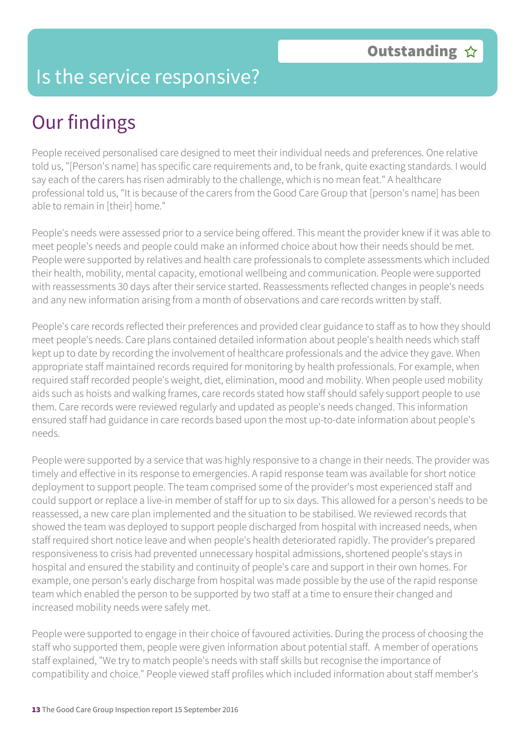#### Is the service responsive?

### Our findings

People received personalised care designed to meet their individual needs and preferences. One relative told us, "[Person's name] has specific care requirements and, to be frank, quite exacting standards. I would say each of the carers has risen admirably to the challenge, which is no mean feat." A healthcare professional told us, "It is because of the carers from the Good Care Group that [person's name] has been able to remain in [their] home."

People's needs were assessed prior to a service being offered. This meant the provider knew if it was able to meet people's needs and people could make an informed choice about how their needs should be met. People were supported by relatives and health care professionals to complete assessments which included their health, mobility, mental capacity, emotional wellbeing and communication. People were supported with reassessments 30 days after their service started. Reassessments reflected changes in people's needs and any new information arising from a month of observations and care records written by staff.

People's care records reflected their preferences and provided clear guidance to staff as to how they should meet people's needs. Care plans contained detailed information about people's health needs which staff kept up to date by recording the involvement of healthcare professionals and the advice they gave. When appropriate staff maintained records required for monitoring by health professionals. For example, when required staff recorded people's weight, diet, elimination, mood and mobility. When people used mobility aids such as hoists and walking frames, care records stated how staff should safely support people to use them. Care records were reviewed regularly and updated as people's needs changed. This information ensured staff had guidance in care records based upon the most up-to-date information about people's needs.

People were supported by a service that was highly responsive to a change in their needs. The provider was timely and effective in its response to emergencies. A rapid response team was available for short notice deployment to support people. The team comprised some of the provider's most experienced staff and could support or replace a live-in member of staff for up to six days. This allowed for a person's needs to be reassessed, a new care plan implemented and the situation to be stabilised. We reviewed records that showed the team was deployed to support people discharged from hospital with increased needs, when staff required short notice leave and when people's health deteriorated rapidly. The provider's prepared responsiveness to crisis had prevented unnecessary hospital admissions, shortened people's stays in hospital and ensured the stability and continuity of people's care and support in their own homes. For example, one person's early discharge from hospital was made possible by the use of the rapid response team which enabled the person to be supported by two staff at a time to ensure their changed and increased mobility needs were safely met.

People were supported to engage in their choice of favoured activities. During the process of choosing the staff who supported them, people were given information about potential staff. A member of operations staff explained, "We try to match people's needs with staff skills but recognise the importance of compatibility and choice." People viewed staff profiles which included information about staff member's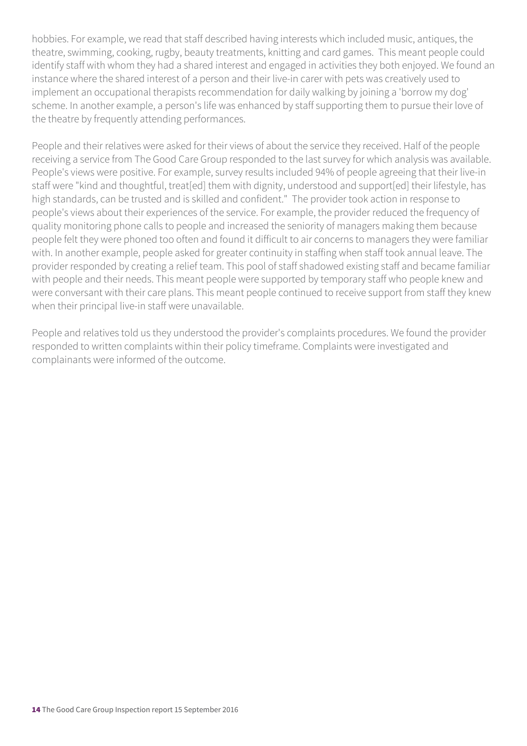hobbies. For example, we read that staff described having interests which included music, antiques, the theatre, swimming, cooking, rugby, beauty treatments, knitting and card games. This meant people could identify staff with whom they had a shared interest and engaged in activities they both enjoyed. We found an instance where the shared interest of a person and their live-in carer with pets was creatively used to implement an occupational therapists recommendation for daily walking by joining a 'borrow my dog' scheme. In another example, a person's life was enhanced by staff supporting them to pursue their love of the theatre by frequently attending performances.

People and their relatives were asked for their views of about the service they received. Half of the people receiving a service from The Good Care Group responded to the last survey for which analysis was available. People's views were positive. For example, survey results included 94% of people agreeing that their live-in staff were "kind and thoughtful, treat[ed] them with dignity, understood and support[ed] their lifestyle, has high standards, can be trusted and is skilled and confident." The provider took action in response to people's views about their experiences of the service. For example, the provider reduced the frequency of quality monitoring phone calls to people and increased the seniority of managers making them because people felt they were phoned too often and found it difficult to air concerns to managers they were familiar with. In another example, people asked for greater continuity in staffing when staff took annual leave. The provider responded by creating a relief team. This pool of staff shadowed existing staff and became familiar with people and their needs. This meant people were supported by temporary staff who people knew and were conversant with their care plans. This meant people continued to receive support from staff they knew when their principal live-in staff were unavailable.

People and relatives told us they understood the provider's complaints procedures. We found the provider responded to written complaints within their policy timeframe. Complaints were investigated and complainants were informed of the outcome.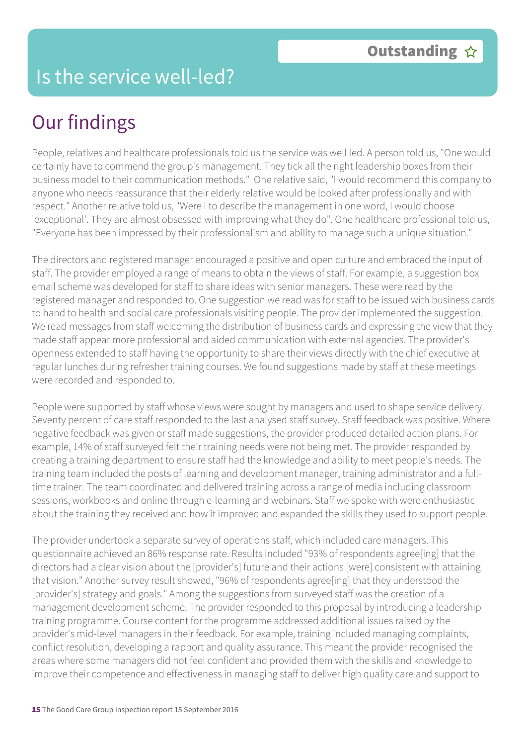## Our findings

People, relatives and healthcare professionals told us the service was well led. A person told us, "One would certainly have to commend the group's management. They tick all the right leadership boxes from their business model to their communication methods." One relative said, "I would recommend this company to anyone who needs reassurance that their elderly relative would be looked after professionally and with respect." Another relative told us, "Were I to describe the management in one word, I would choose 'exceptional'. They are almost obsessed with improving what they do". One healthcare professional told us, "Everyone has been impressed by their professionalism and ability to manage such a unique situation."

The directors and registered manager encouraged a positive and open culture and embraced the input of staff. The provider employed a range of means to obtain the views of staff. For example, a suggestion box email scheme was developed for staff to share ideas with senior managers. These were read by the registered manager and responded to. One suggestion we read was for staff to be issued with business cards to hand to health and social care professionals visiting people. The provider implemented the suggestion. We read messages from staff welcoming the distribution of business cards and expressing the view that they made staff appear more professional and aided communication with external agencies. The provider's openness extended to staff having the opportunity to share their views directly with the chief executive at regular lunches during refresher training courses. We found suggestions made by staff at these meetings were recorded and responded to.

People were supported by staff whose views were sought by managers and used to shape service delivery. Seventy percent of care staff responded to the last analysed staff survey. Staff feedback was positive. Where negative feedback was given or staff made suggestions, the provider produced detailed action plans. For example, 14% of staff surveyed felt their training needs were not being met. The provider responded by creating a training department to ensure staff had the knowledge and ability to meet people's needs. The training team included the posts of learning and development manager, training administrator and a fulltime trainer. The team coordinated and delivered training across a range of media including classroom sessions, workbooks and online through e-learning and webinars. Staff we spoke with were enthusiastic about the training they received and how it improved and expanded the skills they used to support people.

The provider undertook a separate survey of operations staff, which included care managers. This questionnaire achieved an 86% response rate. Results included "93% of respondents agree[ing] that the directors had a clear vision about the [provider's] future and their actions [were] consistent with attaining that vision." Another survey result showed, "96% of respondents agree[ing] that they understood the [provider's] strategy and goals." Among the suggestions from surveyed staff was the creation of a management development scheme. The provider responded to this proposal by introducing a leadership training programme. Course content for the programme addressed additional issues raised by the provider's mid-level managers in their feedback. For example, training included managing complaints, conflict resolution, developing a rapport and quality assurance. This meant the provider recognised the areas where some managers did not feel confident and provided them with the skills and knowledge to improve their competence and effectiveness in managing staff to deliver high quality care and support to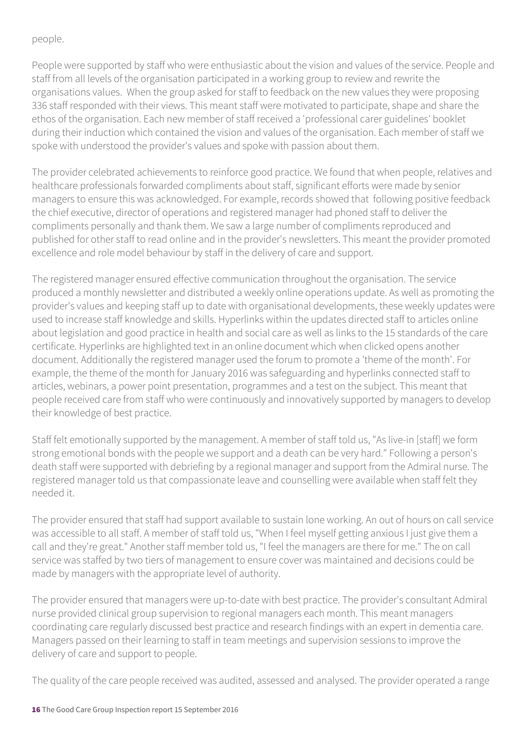people.

People were supported by staff who were enthusiastic about the vision and values of the service. People and staff from all levels of the organisation participated in a working group to review and rewrite the organisations values. When the group asked for staff to feedback on the new values they were proposing 336 staff responded with their views. This meant staff were motivated to participate, shape and share the ethos of the organisation. Each new member of staff received a 'professional carer guidelines' booklet during their induction which contained the vision and values of the organisation. Each member of staff we spoke with understood the provider's values and spoke with passion about them.

The provider celebrated achievements to reinforce good practice. We found that when people, relatives and healthcare professionals forwarded compliments about staff, significant efforts were made by senior managers to ensure this was acknowledged. For example, records showed that following positive feedback the chief executive, director of operations and registered manager had phoned staff to deliver the compliments personally and thank them. We saw a large number of compliments reproduced and published for other staff to read online and in the provider's newsletters. This meant the provider promoted excellence and role model behaviour by staff in the delivery of care and support.

The registered manager ensured effective communication throughout the organisation. The service produced a monthly newsletter and distributed a weekly online operations update. As well as promoting the provider's values and keeping staff up to date with organisational developments, these weekly updates were used to increase staff knowledge and skills. Hyperlinks within the updates directed staff to articles online about legislation and good practice in health and social care as well as links to the 15 standards of the care certificate. Hyperlinks are highlighted text in an online document which when clicked opens another document. Additionally the registered manager used the forum to promote a 'theme of the month'. For example, the theme of the month for January 2016 was safeguarding and hyperlinks connected staff to articles, webinars, a power point presentation, programmes and a test on the subject. This meant that people received care from staff who were continuously and innovatively supported by managers to develop their knowledge of best practice.

Staff felt emotionally supported by the management. A member of staff told us, "As live-in [staff] we form strong emotional bonds with the people we support and a death can be very hard." Following a person's death staff were supported with debriefing by a regional manager and support from the Admiral nurse. The registered manager told us that compassionate leave and counselling were available when staff felt they needed it.

The provider ensured that staff had support available to sustain lone working. An out of hours on call service was accessible to all staff. A member of staff told us, "When I feel myself getting anxious I just give them a call and they're great." Another staff member told us, "I feel the managers are there for me." The on call service was staffed by two tiers of management to ensure cover was maintained and decisions could be made by managers with the appropriate level of authority.

The provider ensured that managers were up-to-date with best practice. The provider's consultant Admiral nurse provided clinical group supervision to regional managers each month. This meant managers coordinating care regularly discussed best practice and research findings with an expert in dementia care. Managers passed on their learning to staff in team meetings and supervision sessions to improve the delivery of care and support to people.

The quality of the care people received was audited, assessed and analysed. The provider operated a range